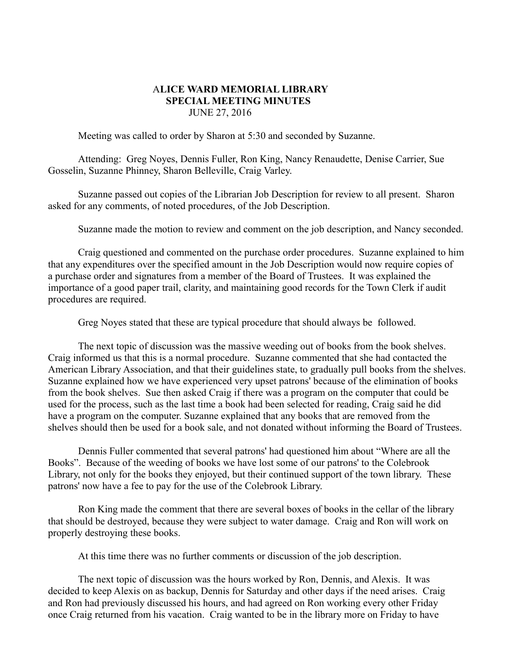## A**LICE WARD MEMORIAL LIBRARY SPECIAL MEETING MINUTES** JUNE 27, 2016

Meeting was called to order by Sharon at 5:30 and seconded by Suzanne.

Attending: Greg Noyes, Dennis Fuller, Ron King, Nancy Renaudette, Denise Carrier, Sue Gosselin, Suzanne Phinney, Sharon Belleville, Craig Varley.

Suzanne passed out copies of the Librarian Job Description for review to all present. Sharon asked for any comments, of noted procedures, of the Job Description.

Suzanne made the motion to review and comment on the job description, and Nancy seconded.

Craig questioned and commented on the purchase order procedures. Suzanne explained to him that any expenditures over the specified amount in the Job Description would now require copies of a purchase order and signatures from a member of the Board of Trustees. It was explained the importance of a good paper trail, clarity, and maintaining good records for the Town Clerk if audit procedures are required.

Greg Noyes stated that these are typical procedure that should always be followed.

The next topic of discussion was the massive weeding out of books from the book shelves. Craig informed us that this is a normal procedure. Suzanne commented that she had contacted the American Library Association, and that their guidelines state, to gradually pull books from the shelves. Suzanne explained how we have experienced very upset patrons' because of the elimination of books from the book shelves. Sue then asked Craig if there was a program on the computer that could be used for the process, such as the last time a book had been selected for reading, Craig said he did have a program on the computer. Suzanne explained that any books that are removed from the shelves should then be used for a book sale, and not donated without informing the Board of Trustees.

Dennis Fuller commented that several patrons' had questioned him about "Where are all the Books". Because of the weeding of books we have lost some of our patrons' to the Colebrook Library, not only for the books they enjoyed, but their continued support of the town library. These patrons' now have a fee to pay for the use of the Colebrook Library.

Ron King made the comment that there are several boxes of books in the cellar of the library that should be destroyed, because they were subject to water damage. Craig and Ron will work on properly destroying these books.

At this time there was no further comments or discussion of the job description.

The next topic of discussion was the hours worked by Ron, Dennis, and Alexis. It was decided to keep Alexis on as backup, Dennis for Saturday and other days if the need arises. Craig and Ron had previously discussed his hours, and had agreed on Ron working every other Friday once Craig returned from his vacation. Craig wanted to be in the library more on Friday to have